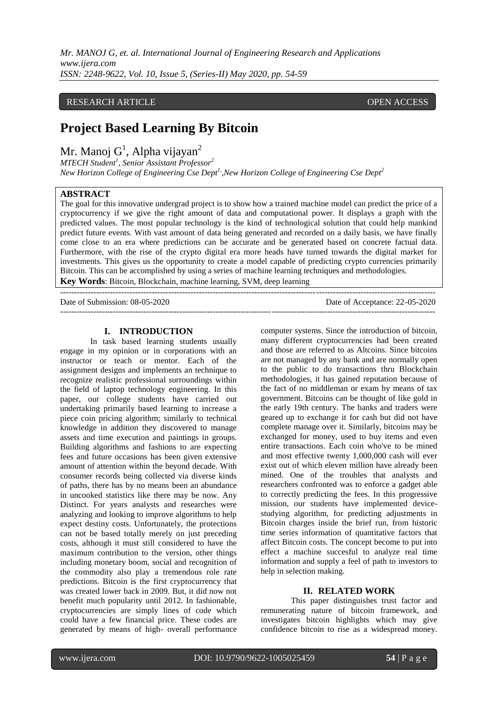*Mr. MANOJ G, et. al. International Journal of Engineering Research and Applications www.ijera.com ISSN: 2248-9622, Vol. 10, Issue 5, (Series-II) May 2020, pp. 54-59*

## RESEARCH ARTICLE OPEN ACCESS

# **Project Based Learning By Bitcoin**

Mr. Manoj  $G^1$ , Alpha vijayan<sup>2</sup>

*MTECH Student<sup>1</sup> , Senior Assistant Professor<sup>2</sup> New Horizon College of Engineering Cse Dept1,,New Horizon College of Engineering Cse Dept<sup>2</sup>*

## **ABSTRACT**

The goal for this innovative undergrad project is to show how a trained machine model can predict the price of a cryptocurrency if we give the right amount of data and computational power. It displays a graph with the predicted values. The most popular technology is the kind of technological solution that could help mankind predict future events. With vast amount of data being generated and recorded on a daily basis, we have finally come close to an era where predictions can be accurate and be generated based on concrete factual data. Furthermore, with the rise of the crypto digital era more heads have turned towards the digital market for investments. This gives us the opportunity to create a model capable of predicting crypto currencies primarily Bitcoin. This can be accomplished by using a series of machine learning techniques and methodologies. **Key Words**: Bitcoin, Blockchain, machine learning, SVM, deep learning

Date of Submission: 08-05-2020 Date of Acceptance: 22-05-2020

#### **I. INTRODUCTION**

 $-++++++++$ 

In task based learning students usually engage in my opinion or in corporations with an instructor or teach or mentor. Each of the assignment designs and implements an technique to recognize realistic professional surroundings within the field of laptop technology engineering. In this paper, our college students have carried out undertaking primarily based learning to increase a piece coin pricing algorithm; similarly to technical knowledge in addition they discovered to manage assets and time execution and paintings in groups. Building algorithms and fashions to are expecting fees and future occasions has been given extensive amount of attention within the beyond decade. With consumer records being collected via diverse kinds of paths, there has by no means been an abundance in uncooked statistics like there may be now. Any Distinct. For years analysts and researches were analyzing and looking to improve algorithms to help expect destiny costs. Unfortunately, the protections can not be based totally merely on just preceding costs, although it must still considered to have the maximum contribution to the version, other things including monetary boom, social and recognition of the commodity also play a tremendous role rate predictions. Bitcoin is the first cryptocurrency that was created lower back in 2009. But, it did now not benefit much popularity until 2012. In fashionable, cryptocurrencies are simply lines of code which could have a few financial price. These codes are generated by means of high- overall performance computer systems. Since the introduction of bitcoin, many different cryptocurrencies had been created and those are referred to as Altcoins. Since bitcoins are not managed by any bank and are normally open to the public to do transactions thru Blockchain methodologies, it has gained reputation because of the fact of no middleman or exam by means of tax government. Bitcoins can be thought of like gold in the early 19th century. The banks and traders were geared up to exchange it for cash but did not have complete manage over it. Similarly, bitcoins may be exchanged for money, used to buy items and even entire transactions. Each coin who've to be mined and most effective twenty 1,000,000 cash will ever exist out of which eleven million have already been mined. One of the troubles that analysts and researchers confronted was to enforce a gadget able to correctly predicting the fees. In this progressive mission, our students have implemented devicestudying algorithm, for predicting adjustments in Bitcoin charges inside the brief run, from historic time series information of quantitative factors that affect Bitcoin costs. The concept become to put into effect a machine succesful to analyze real time information and supply a feel of path to investors to help in selection making.

#### **II. RELATED WORK**

This paper distinguishes trust factor and remunerating nature of bitcoin framework, and investigates bitcoin highlights which may give confidence bitcoin to rise as a widespread money.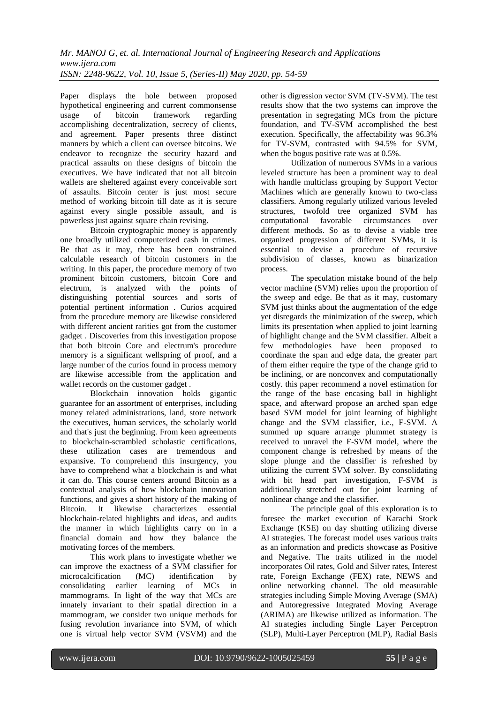Paper displays the hole between proposed hypothetical engineering and current commonsense usage of bitcoin framework regarding accomplishing decentralization, secrecy of clients, and agreement. Paper presents three distinct manners by which a client can oversee bitcoins. We endeavor to recognize the security hazard and practical assaults on these designs of bitcoin the executives. We have indicated that not all bitcoin wallets are sheltered against every conceivable sort of assaults. Bitcoin center is just most secure method of working bitcoin till date as it is secure against every single possible assault, and is powerless just against square chain revising.

Bitcoin cryptographic money is apparently one broadly utilized computerized cash in crimes. Be that as it may, there has been constrained calculable research of bitcoin customers in the writing. In this paper, the procedure memory of two prominent bitcoin customers, bitcoin Core and electrum, is analyzed with the points of distinguishing potential sources and sorts of potential pertinent information . Curios acquired from the procedure memory are likewise considered with different ancient rarities got from the customer gadget . Discoveries from this investigation propose that both bitcoin Core and electrum's procedure memory is a significant wellspring of proof, and a large number of the curios found in process memory are likewise accessible from the application and wallet records on the customer gadget .

Blockchain innovation holds gigantic guarantee for an assortment of enterprises, including money related administrations, land, store network the executives, human services, the scholarly world and that's just the beginning. From keen agreements to blockchain-scrambled scholastic certifications, these utilization cases are tremendous and expansive. To comprehend this insurgency, you have to comprehend what a blockchain is and what it can do. This course centers around Bitcoin as a contextual analysis of how blockchain innovation functions, and gives a short history of the making of Bitcoin. It likewise characterizes essential blockchain-related highlights and ideas, and audits the manner in which highlights carry on in a financial domain and how they balance the motivating forces of the members.

This work plans to investigate whether we can improve the exactness of a SVM classifier for microcalcification (MC) identification by consolidating earlier learning of MCs in mammograms. In light of the way that MCs are innately invariant to their spatial direction in a mammogram, we consider two unique methods for fusing revolution invariance into SVM, of which one is virtual help vector SVM (VSVM) and the other is digression vector SVM (TV-SVM). The test results show that the two systems can improve the presentation in segregating MCs from the picture foundation, and TV-SVM accomplished the best execution. Specifically, the affectability was 96.3% for TV-SVM, contrasted with 94.5% for SVM, when the bogus positive rate was at 0.5%.

Utilization of numerous SVMs in a various leveled structure has been a prominent way to deal with handle multiclass grouping by Support Vector Machines which are generally known to two-class classifiers. Among regularly utilized various leveled structures, twofold tree organized SVM has computational favorable circumstances over different methods. So as to devise a viable tree organized progression of different SVMs, it is essential to devise a procedure of recursive subdivision of classes, known as binarization process.

The speculation mistake bound of the help vector machine (SVM) relies upon the proportion of the sweep and edge. Be that as it may, customary SVM just thinks about the augmentation of the edge yet disregards the minimization of the sweep, which limits its presentation when applied to joint learning of highlight change and the SVM classifier. Albeit a few methodologies have been proposed to coordinate the span and edge data, the greater part of them either require the type of the change grid to be inclining, or are nonconvex and computationally costly. this paper recommend a novel estimation for the range of the base encasing ball in highlight space, and afterward propose an arched span edge based SVM model for joint learning of highlight change and the SVM classifier, i.e., F-SVM. A summed up square arrange plummet strategy is received to unravel the F-SVM model, where the component change is refreshed by means of the slope plunge and the classifier is refreshed by utilizing the current SVM solver. By consolidating with bit head part investigation, F-SVM is additionally stretched out for joint learning of nonlinear change and the classifier.

The principle goal of this exploration is to foresee the market execution of Karachi Stock Exchange (KSE) on day shutting utilizing diverse AI strategies. The forecast model uses various traits as an information and predicts showcase as Positive and Negative. The traits utilized in the model incorporates Oil rates, Gold and Silver rates, Interest rate, Foreign Exchange (FEX) rate, NEWS and online networking channel. The old measurable strategies including Simple Moving Average (SMA) and Autoregressive Integrated Moving Average (ARIMA) are likewise utilized as information. The AI strategies including Single Layer Perceptron (SLP), Multi-Layer Perceptron (MLP), Radial Basis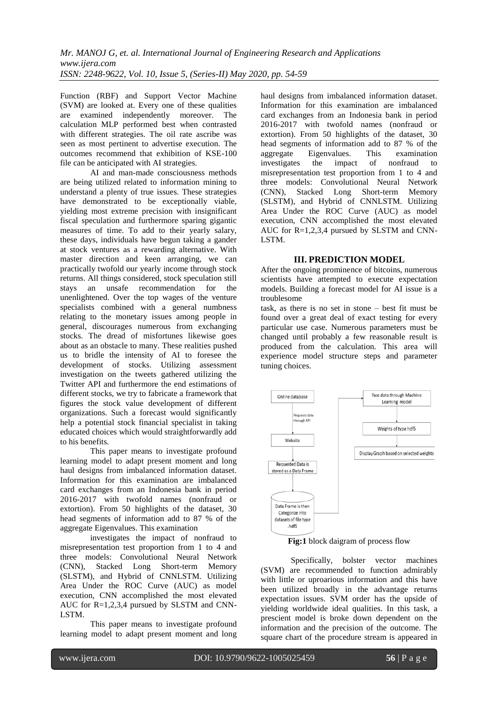Function (RBF) and Support Vector Machine (SVM) are looked at. Every one of these qualities are examined independently moreover. The calculation MLP performed best when contrasted with different strategies. The oil rate ascribe was seen as most pertinent to advertise execution. The outcomes recommend that exhibition of KSE-100 file can be anticipated with AI strategies.

AI and man-made consciousness methods are being utilized related to information mining to understand a plenty of true issues. These strategies have demonstrated to be exceptionally viable, yielding most extreme precision with insignificant fiscal speculation and furthermore sparing gigantic measures of time. To add to their yearly salary, these days, individuals have begun taking a gander at stock ventures as a rewarding alternative. With master direction and keen arranging, we can practically twofold our yearly income through stock returns. All things considered, stock speculation still stays an unsafe recommendation for the unenlightened. Over the top wages of the venture specialists combined with a general numbness relating to the monetary issues among people in general, discourages numerous from exchanging stocks. The dread of misfortunes likewise goes about as an obstacle to many. These realities pushed us to bridle the intensity of AI to foresee the development of stocks. Utilizing assessment investigation on the tweets gathered utilizing the Twitter API and furthermore the end estimations of different stocks, we try to fabricate a framework that figures the stock value development of different organizations. Such a forecast would significantly help a potential stock financial specialist in taking educated choices which would straightforwardly add to his benefits.

This paper means to investigate profound learning model to adapt present moment and long haul designs from imbalanced information dataset. Information for this examination are imbalanced card exchanges from an Indonesia bank in period 2016-2017 with twofold names (nonfraud or extortion). From 50 highlights of the dataset, 30 head segments of information add to 87 % of the aggregate Eigenvalues. This examination

investigates the impact of nonfraud to misrepresentation test proportion from 1 to 4 and three models: Convolutional Neural Network (CNN), Stacked Long Short-term Memory (SLSTM), and Hybrid of CNNLSTM. Utilizing Area Under the ROC Curve (AUC) as model execution, CNN accomplished the most elevated AUC for R=1,2,3,4 pursued by SLSTM and CNN-LSTM.

This paper means to investigate profound learning model to adapt present moment and long haul designs from imbalanced information dataset. Information for this examination are imbalanced card exchanges from an Indonesia bank in period 2016-2017 with twofold names (nonfraud or extortion). From 50 highlights of the dataset, 30 head segments of information add to 87 % of the<br>aggregate Eigenvalues This examination aggregate Eigenvalues. investigates the impact of nonfraud to misrepresentation test proportion from 1 to 4 and three models: Convolutional Neural Network (CNN), Stacked Long Short-term Memory (SLSTM), and Hybrid of CNNLSTM. Utilizing Area Under the ROC Curve (AUC) as model execution, CNN accomplished the most elevated AUC for R=1,2,3,4 pursued by SLSTM and CNN-LSTM.

## **III. PREDICTION MODEL**

After the ongoing prominence of bitcoins, numerous scientists have attempted to execute expectation models. Building a forecast model for AI issue is a troublesome

task, as there is no set in stone – best fit must be found over a great deal of exact testing for every particular use case. Numerous parameters must be changed until probably a few reasonable result is produced from the calculation. This area will experience model structure steps and parameter tuning choices.



**Fig:1** block daigram of process flow

Specifically, bolster vector machines (SVM) are recommended to function admirably with little or uproarious information and this have been utilized broadly in the advantage returns expectation issues. SVM order has the upside of yielding worldwide ideal qualities. In this task, a prescient model is broke down dependent on the information and the precision of the outcome. The square chart of the procedure stream is appeared in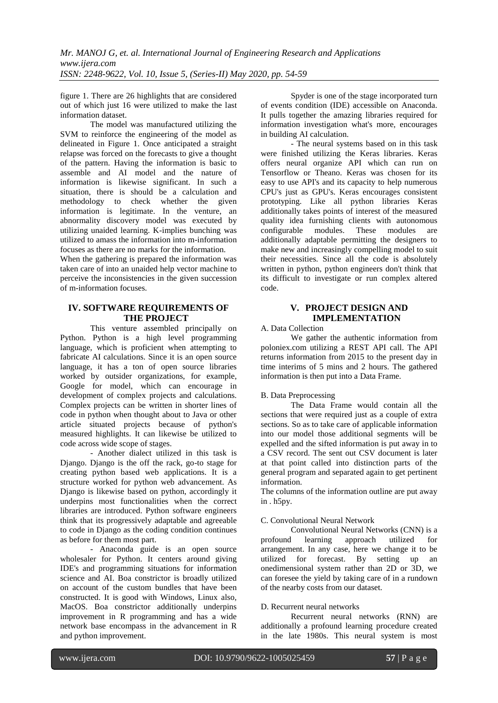figure 1. There are 26 highlights that are considered out of which just 16 were utilized to make the last information dataset.

The model was manufactured utilizing the SVM to reinforce the engineering of the model as delineated in Figure 1. Once anticipated a straight relapse was forced on the forecasts to give a thought of the pattern. Having the information is basic to assemble and AI model and the nature of information is likewise significant. In such a situation, there is should be a calculation and methodology to check whether the given information is legitimate. In the venture, an abnormality discovery model was executed by utilizing unaided learning. K-implies bunching was utilized to amass the information into m-information focuses as there are no marks for the information.

When the gathering is prepared the information was taken care of into an unaided help vector machine to perceive the inconsistencies in the given succession of m-information focuses.

# **IV. SOFTWARE REQUIREMENTS OF THE PROJECT**

This venture assembled principally on Python. Python is a high level programming language, which is proficient when attempting to fabricate AI calculations. Since it is an open source language, it has a ton of open source libraries worked by outsider organizations, for example, Google for model, which can encourage in development of complex projects and calculations. Complex projects can be written in shorter lines of code in python when thought about to Java or other article situated projects because of python's measured highlights. It can likewise be utilized to code across wide scope of stages.

- Another dialect utilized in this task is Django. Django is the off the rack, go-to stage for creating python based web applications. It is a structure worked for python web advancement. As Django is likewise based on python, accordingly it underpins most functionalities when the correct libraries are introduced. Python software engineers think that its progressively adaptable and agreeable to code in Django as the coding condition continues as before for them most part.

- Anaconda guide is an open source wholesaler for Python. It centers around giving IDE's and programming situations for information science and AI. Boa constrictor is broadly utilized on account of the custom bundles that have been constructed. It is good with Windows, Linux also, MacOS. Boa constrictor additionally underpins improvement in R programming and has a wide network base encompass in the advancement in R and python improvement.

Spyder is one of the stage incorporated turn of events condition (IDE) accessible on Anaconda. It pulls together the amazing libraries required for information investigation what's more, encourages in building AI calculation.

- The neural systems based on in this task were finished utilizing the Keras libraries. Keras offers neural organize API which can run on Tensorflow or Theano. Keras was chosen for its easy to use API's and its capacity to help numerous CPU's just as GPU's. Keras encourages consistent prototyping. Like all python libraries Keras additionally takes points of interest of the measured quality idea furnishing clients with autonomous configurable modules. These modules are additionally adaptable permitting the designers to make new and increasingly compelling model to suit their necessities. Since all the code is absolutely written in python, python engineers don't think that its difficult to investigate or run complex altered code.

# **V. PROJECT DESIGN AND IMPLEMENTATION**

## A. Data Collection

We gather the authentic information from poloniex.com utilizing a REST API call. The API returns information from 2015 to the present day in time interims of 5 mins and 2 hours. The gathered information is then put into a Data Frame.

## B. Data Preprocessing

The Data Frame would contain all the sections that were required just as a couple of extra sections. So as to take care of applicable information into our model those additional segments will be expelled and the sifted information is put away in to a CSV record. The sent out CSV document is later at that point called into distinction parts of the general program and separated again to get pertinent information.

The columns of the information outline are put away in . h5py.

## C. Convolutional Neural Network

Convolutional Neural Networks (CNN) is a profound learning approach utilized for arrangement. In any case, here we change it to be utilized for forecast. By setting up an for forecast. By onedimensional system rather than 2D or 3D, we can foresee the yield by taking care of in a rundown of the nearby costs from our dataset.

## D. Recurrent neural networks

Recurrent neural networks (RNN) are additionally a profound learning procedure created in the late 1980s. This neural system is most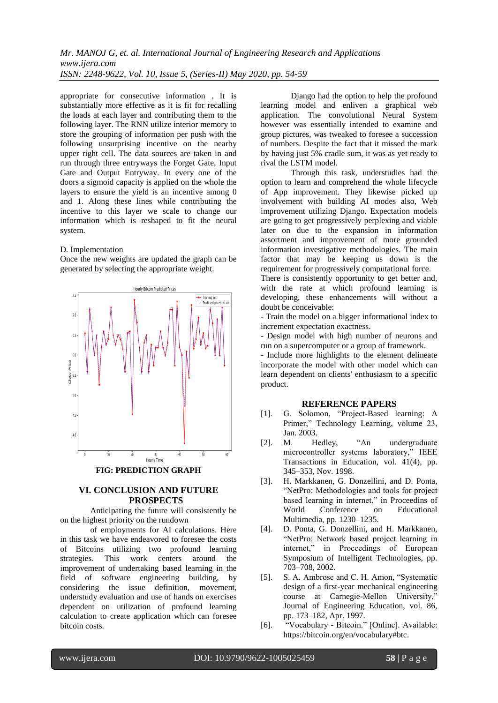appropriate for consecutive information . It is substantially more effective as it is fit for recalling the loads at each layer and contributing them to the following layer. The RNN utilize interior memory to store the grouping of information per push with the following unsurprising incentive on the nearby upper right cell. The data sources are taken in and run through three entryways the Forget Gate, Input Gate and Output Entryway. In every one of the doors a sigmoid capacity is applied on the whole the layers to ensure the yield is an incentive among 0 and 1. Along these lines while contributing the incentive to this layer we scale to change our information which is reshaped to fit the neural system.

#### D. Implementation

Once the new weights are updated the graph can be generated by selecting the appropriate weight.



# **VI. CONCLUSION AND FUTURE PROSPECTS**

Anticipating the future will consistently be on the highest priority on the rundown

of employments for AI calculations. Here in this task we have endeavored to foresee the costs of Bitcoins utilizing two profound learning strategies. This work centers around the improvement of undertaking based learning in the field of software engineering building, by considering the issue definition, movement, understudy evaluation and use of hands on exercises dependent on utilization of profound learning calculation to create application which can foresee bitcoin costs.

Django had the option to help the profound learning model and enliven a graphical web application. The convolutional Neural System however was essentially intended to examine and group pictures, was tweaked to foresee a succession of numbers. Despite the fact that it missed the mark by having just 5% cradle sum, it was as yet ready to rival the LSTM model.

Through this task, understudies had the option to learn and comprehend the whole lifecycle of App improvement. They likewise picked up involvement with building AI modes also, Web improvement utilizing Django. Expectation models are going to get progressively perplexing and viable later on due to the expansion in information assortment and improvement of more grounded information investigative methodologies. The main factor that may be keeping us down is the requirement for progressively computational force.

There is consistently opportunity to get better and, with the rate at which profound learning is developing, these enhancements will without a doubt be conceivable:

- Train the model on a bigger informational index to increment expectation exactness.

- Design model with high number of neurons and run on a supercomputer or a group of framework.

- Include more highlights to the element delineate incorporate the model with other model which can learn dependent on clients' enthusiasm to a specific product.

#### **REFERENCE PAPERS**

- [1]. G. Solomon, "Project-Based learning: A Primer," Technology Learning, volume 23, Jan. 2003.
- [2]. M. Hedley, "An undergraduate microcontroller systems laboratory," IEEE Transactions in Education, vol. 41(4), pp. 345–353, Nov. 1998.
- [3]. H. Markkanen, G. Donzellini, and D. Ponta, "NetPro: Methodologies and tools for project based learning in internet," in Proceedins of World Conference on Educational Multimedia, pp. 1230–1235.
- [4]. D. Ponta, G. Donzellini, and H. Markkanen, "NetPro: Network based project learning in internet," in Proceedings of European Symposium of Intelligent Technologies, pp. 703–708, 2002.
- [5]. S. A. Ambrose and C. H. Amon, "Systematic design of a first-year mechanical engineering course at Carnegie-Mellon University," Journal of Engineering Education, vol. 86, pp. 173–182, Apr. 1997.
- [6]. "Vocabulary Bitcoin." [Online]. Available: https://bitcoin.org/en/vocabulary#btc.